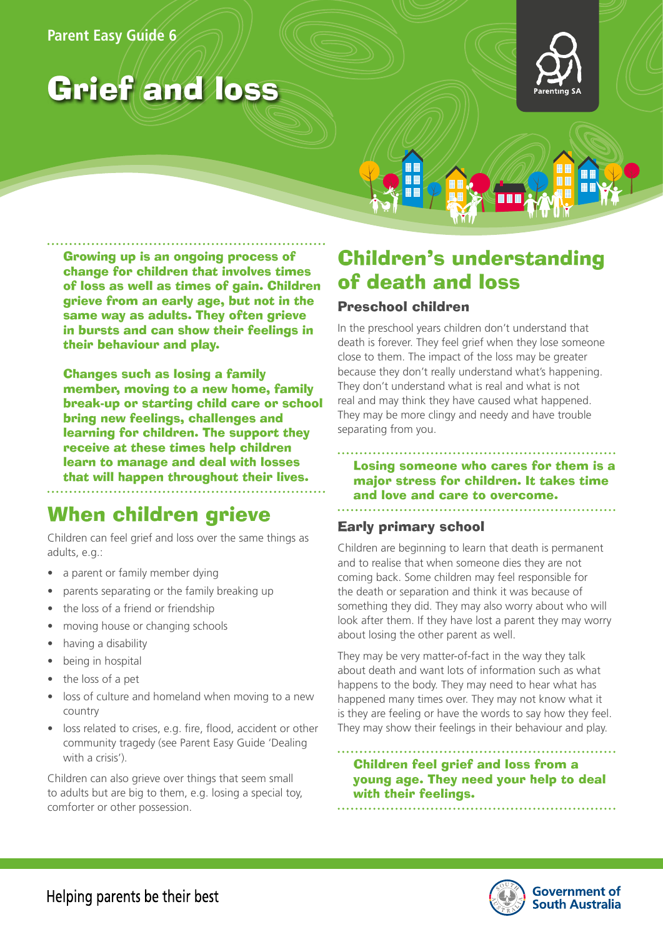# Grief and loss



Growing up is an ongoing process of change for children that involves times of loss as well as times of gain. Children grieve from an early age, but not in the same way as adults. They often grieve in bursts and can show their feelings in their behaviour and play.

Changes such as losing a family member, moving to a new home, family break-up or starting child care or school bring new feelings, challenges and learning for children. The support they receive at these times help children learn to manage and deal with losses that will happen throughout their lives.

## When children grieve

Children can feel grief and loss over the same things as adults, e.g.:

- a parent or family member dying
- parents separating or the family breaking up
- the loss of a friend or friendship
- moving house or changing schools
- having a disability
- being in hospital
- the loss of a pet
- loss of culture and homeland when moving to a new country
- loss related to crises, e.g. fire, flood, accident or other community tragedy (see Parent Easy Guide 'Dealing with a crisis').

Children can also grieve over things that seem small to adults but are big to them, e.g. losing a special toy, comforter or other possession.

## Children's understanding of death and loss

### Preschool children

In the preschool years children don't understand that death is forever. They feel grief when they lose someone close to them. The impact of the loss may be greater because they don't really understand what's happening. They don't understand what is real and what is not real and may think they have caused what happened. They may be more clingy and needy and have trouble separating from you.

### Losing someone who cares for them is a major stress for children. It takes time and love and care to overcome.

## Early primary school

Children are beginning to learn that death is permanent and to realise that when someone dies they are not coming back. Some children may feel responsible for the death or separation and think it was because of something they did. They may also worry about who will look after them. If they have lost a parent they may worry about losing the other parent as well.

They may be very matter-of-fact in the way they talk about death and want lots of information such as what happens to the body. They may need to hear what has happened many times over. They may not know what it is they are feeling or have the words to say how they feel. They may show their feelings in their behaviour and play.

Children feel grief and loss from a young age. They need your help to deal with their feelings.

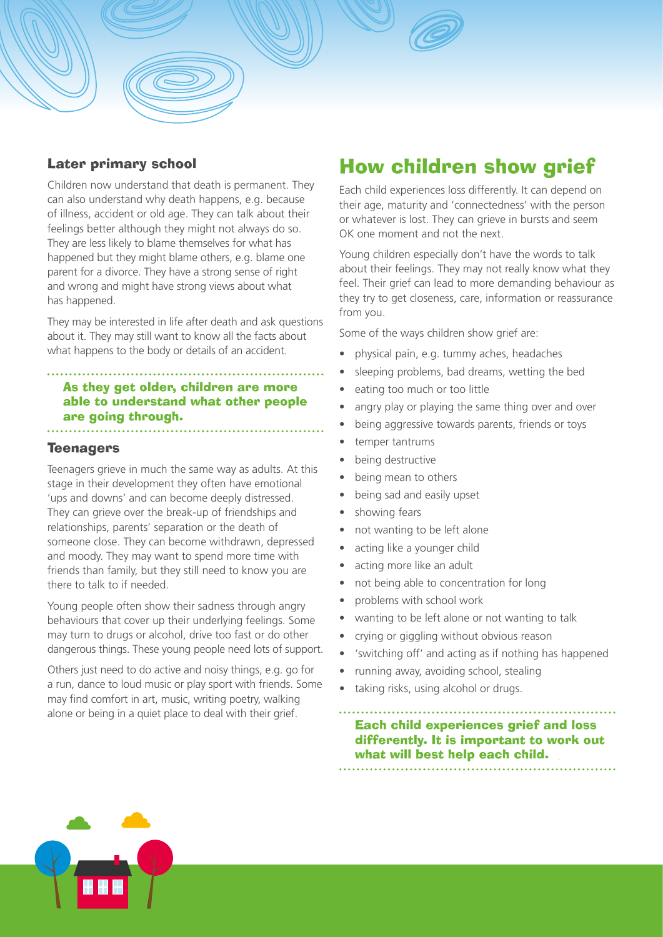### Later primary school

Children now understand that death is permanent. They can also understand why death happens, e.g. because of illness, accident or old age. They can talk about their feelings better although they might not always do so. They are less likely to blame themselves for what has happened but they might blame others, e.g. blame one parent for a divorce. They have a strong sense of right and wrong and might have strong views about what has happened.

They may be interested in life after death and ask questions about it. They may still want to know all the facts about what happens to the body or details of an accident.

As they get older, children are more able to understand what other people are going through. 

### **Teenagers**

Teenagers grieve in much the same way as adults. At this stage in their development they often have emotional 'ups and downs' and can become deeply distressed. They can grieve over the break-up of friendships and relationships, parents' separation or the death of someone close. They can become withdrawn, depressed and moody. They may want to spend more time with friends than family, but they still need to know you are there to talk to if needed.

Young people often show their sadness through angry behaviours that cover up their underlying feelings. Some may turn to drugs or alcohol, drive too fast or do other dangerous things. These young people need lots of support.

Others just need to do active and noisy things, e.g. go for a run, dance to loud music or play sport with friends. Some may find comfort in art, music, writing poetry, walking alone or being in a quiet place to deal with their grief.

## How children show grief

Each child experiences loss differently. It can depend on their age, maturity and 'connectedness' with the person or whatever is lost. They can grieve in bursts and seem OK one moment and not the next.

Young children especially don't have the words to talk about their feelings. They may not really know what they feel. Their grief can lead to more demanding behaviour as they try to get closeness, care, information or reassurance from you.

Some of the ways children show grief are:

- physical pain, e.g. tummy aches, headaches
- sleeping problems, bad dreams, wetting the bed
- eating too much or too little
- angry play or playing the same thing over and over
- being aggressive towards parents, friends or toys
- temper tantrums
- being destructive
- being mean to others
- being sad and easily upset
- showing fears
- not wanting to be left alone
- acting like a younger child
- acting more like an adult
- not being able to concentration for long
- problems with school work
- wanting to be left alone or not wanting to talk
- crying or giggling without obvious reason
- 'switching off' and acting as if nothing has happened
- running away, avoiding school, stealing
- taking risks, using alcohol or drugs.

Each child experiences grief and loss differently. It is important to work out what will best help each child.

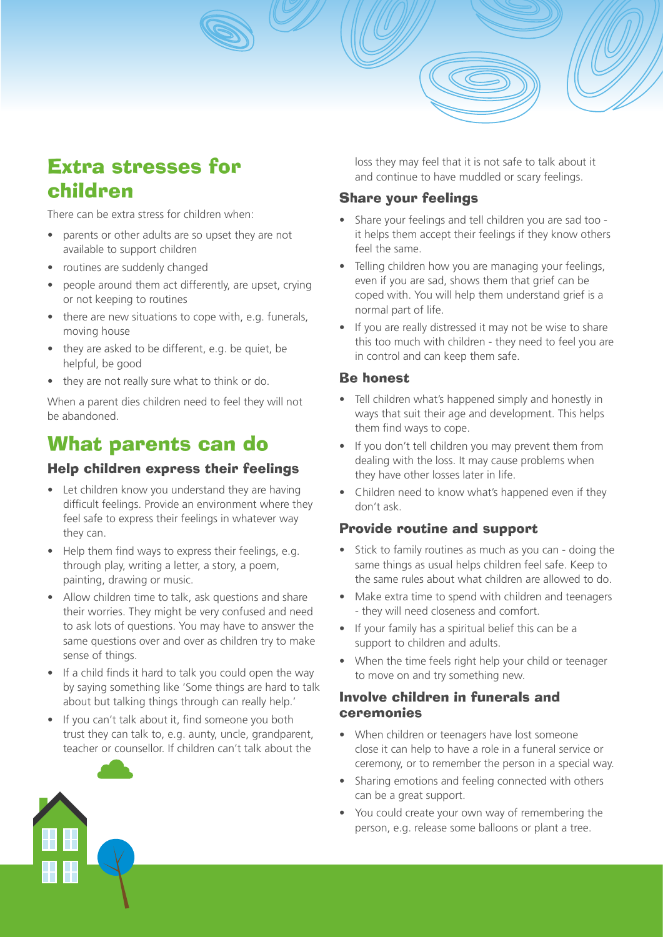## Extra stresses for children

There can be extra stress for children when:

- parents or other adults are so upset they are not available to support children
- routines are suddenly changed
- people around them act differently, are upset, crying or not keeping to routines
- there are new situations to cope with, e.g. funerals, moving house
- they are asked to be different, e.g. be quiet, be helpful, be good
- they are not really sure what to think or do.

When a parent dies children need to feel they will not be abandoned.

## What parents can do

## Help children express their feelings

- Let children know you understand they are having difficult feelings. Provide an environment where they feel safe to express their feelings in whatever way they can.
- Help them find ways to express their feelings, e.g. through play, writing a letter, a story, a poem, painting, drawing or music.
- Allow children time to talk, ask questions and share their worries. They might be very confused and need to ask lots of questions. You may have to answer the same questions over and over as children try to make sense of things.
- If a child finds it hard to talk you could open the way by saying something like 'Some things are hard to talk about but talking things through can really help.'
- If you can't talk about it, find someone you both trust they can talk to, e.g. aunty, uncle, grandparent, teacher or counsellor. If children can't talk about the

loss they may feel that it is not safe to talk about it and continue to have muddled or scary feelings.

## Share your feelings

- Share your feelings and tell children you are sad too it helps them accept their feelings if they know others feel the same.
- Telling children how you are managing your feelings, even if you are sad, shows them that grief can be coped with. You will help them understand grief is a normal part of life.
- If you are really distressed it may not be wise to share this too much with children - they need to feel you are in control and can keep them safe.

## Be honest

- Tell children what's happened simply and honestly in ways that suit their age and development. This helps them find ways to cope.
- If you don't tell children you may prevent them from dealing with the loss. It may cause problems when they have other losses later in life.
- Children need to know what's happened even if they don't ask.

## Provide routine and support

- Stick to family routines as much as you can doing the same things as usual helps children feel safe. Keep to the same rules about what children are allowed to do.
- Make extra time to spend with children and teenagers - they will need closeness and comfort.
- If your family has a spiritual belief this can be a support to children and adults.
- When the time feels right help your child or teenager to move on and try something new.

## Involve children in funerals and ceremonies

- When children or teenagers have lost someone close it can help to have a role in a funeral service or ceremony, or to remember the person in a special way.
- Sharing emotions and feeling connected with others can be a great support.
- You could create your own way of remembering the person, e.g. release some balloons or plant a tree.